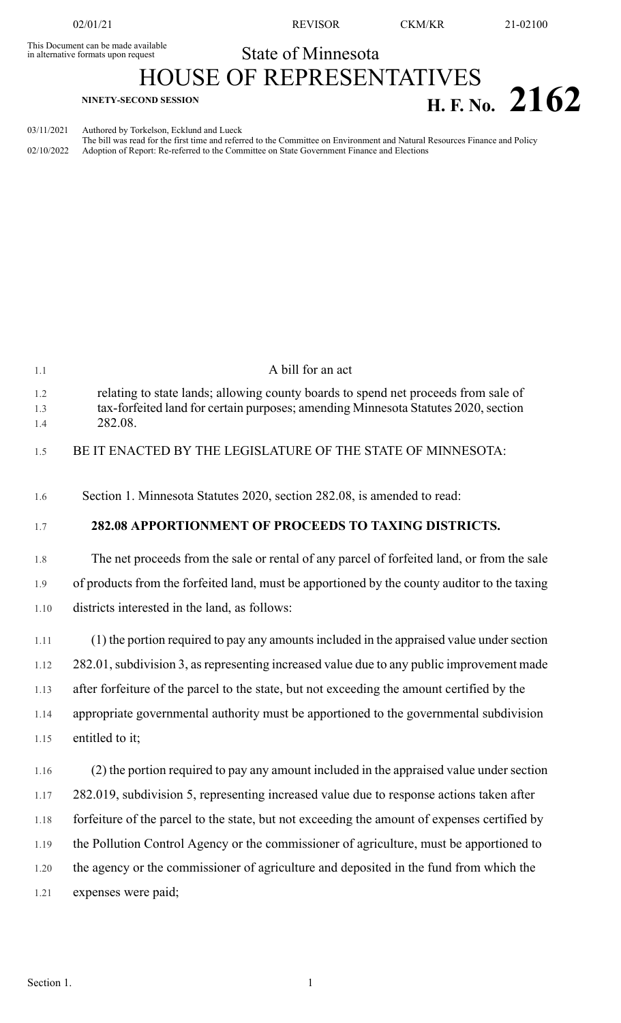This Document can be made available<br>in alternative formats upon request

02/01/21 REVISOR CKM/KR 21-02100

## State of Minnesota

## HOUSE OF REPRESENTATIVES **H. F. No.** 2162

03/11/2021 Authored by Torkelson, Ecklund and Lueck

The bill was read for the first time and referred to the Committee on Environment and Natural Resources Finance and Policy 02/10/2022 Adoption of Report: Re-referred to the Committee on State Government Finance and Elections

| 1.1        | A bill for an act                                                                                                                                                        |
|------------|--------------------------------------------------------------------------------------------------------------------------------------------------------------------------|
| 1.2<br>1.3 | relating to state lands; allowing county boards to spend net proceeds from sale of<br>tax-forfeited land for certain purposes; amending Minnesota Statutes 2020, section |
| 1.4        | 282.08.                                                                                                                                                                  |
| 1.5        | BE IT ENACTED BY THE LEGISLATURE OF THE STATE OF MINNESOTA:                                                                                                              |
| 1.6        | Section 1. Minnesota Statutes 2020, section 282.08, is amended to read:                                                                                                  |
| 1.7        | 282.08 APPORTIONMENT OF PROCEEDS TO TAXING DISTRICTS.                                                                                                                    |
| 1.8        | The net proceeds from the sale or rental of any parcel of forfeited land, or from the sale                                                                               |
| 1.9        | of products from the forfeited land, must be apportioned by the county auditor to the taxing                                                                             |
| 1.10       | districts interested in the land, as follows:                                                                                                                            |
| 1.11       | (1) the portion required to pay any amounts included in the appraised value under section                                                                                |
| 1.12       | 282.01, subdivision 3, as representing increased value due to any public improvement made                                                                                |
| 1.13       | after forfeiture of the parcel to the state, but not exceeding the amount certified by the                                                                               |
| 1.14       | appropriate governmental authority must be apportioned to the governmental subdivision                                                                                   |
| 1.15       | entitled to it;                                                                                                                                                          |
| 1.16       | (2) the portion required to pay any amount included in the appraised value under section                                                                                 |
| 1.17       | 282.019, subdivision 5, representing increased value due to response actions taken after                                                                                 |
| 1.18       | forfeiture of the parcel to the state, but not exceeding the amount of expenses certified by                                                                             |
| 1.19       | the Pollution Control Agency or the commissioner of agriculture, must be apportioned to                                                                                  |
| 1.20       | the agency or the commissioner of agriculture and deposited in the fund from which the                                                                                   |
| 1.21       | expenses were paid;                                                                                                                                                      |
|            |                                                                                                                                                                          |